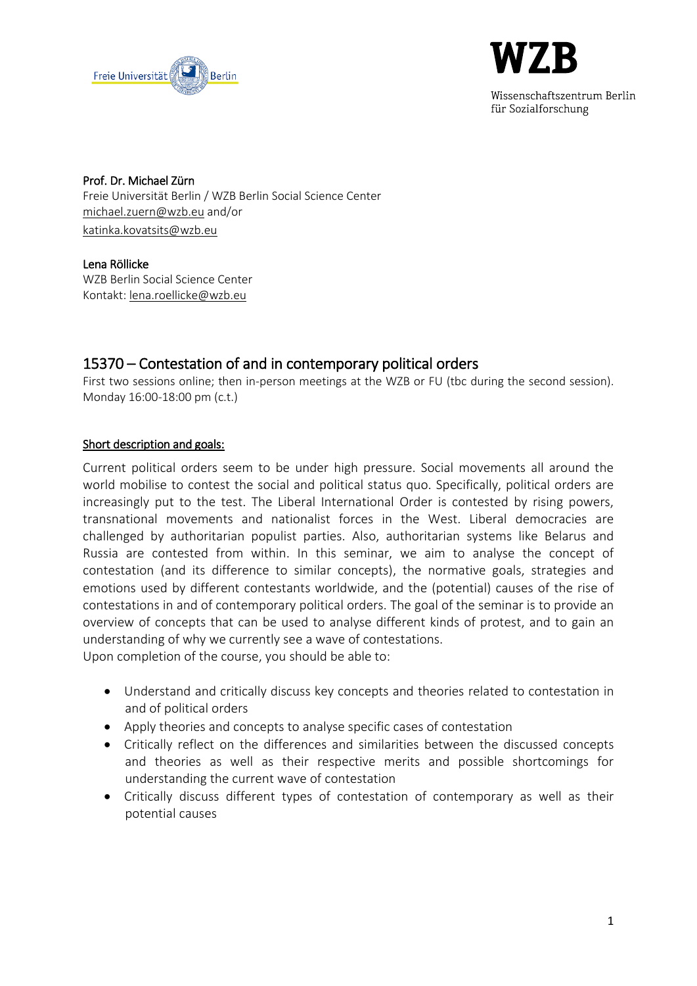



Wissenschaftszentrum Berlin für Sozialforschung

Prof. Dr. Michael Zürn Freie Universität Berlin / WZB Berlin Social Science Center [michael.zuern@wzb.eu](mailto:michael.zuern@wzb.eu) and/or [katinka.kovatsits@wzb.eu](mailto:katinka.kovatsits@wzb.eu)

Lena Röllicke WZB Berlin Social Science Center Kontakt[: lena.roellicke@wzb.eu](mailto:lena.roellicke@wzb.eu)

# 15370 – Contestation of and in contemporary political orders

First two sessions online; then in-person meetings at the WZB or FU (tbc during the second session). Monday 16:00-18:00 pm (c.t.)

## Short description and goals:

Current political orders seem to be under high pressure. Social movements all around the world mobilise to contest the social and political status quo. Specifically, political orders are increasingly put to the test. The Liberal International Order is contested by rising powers, transnational movements and nationalist forces in the West. Liberal democracies are challenged by authoritarian populist parties. Also, authoritarian systems like Belarus and Russia are contested from within. In this seminar, we aim to analyse the concept of contestation (and its difference to similar concepts), the normative goals, strategies and emotions used by different contestants worldwide, and the (potential) causes of the rise of contestations in and of contemporary political orders. The goal of the seminar is to provide an overview of concepts that can be used to analyse different kinds of protest, and to gain an understanding of why we currently see a wave of contestations.

Upon completion of the course, you should be able to:

- Understand and critically discuss key concepts and theories related to contestation in and of political orders
- Apply theories and concepts to analyse specific cases of contestation
- Critically reflect on the differences and similarities between the discussed concepts and theories as well as their respective merits and possible shortcomings for understanding the current wave of contestation
- Critically discuss different types of contestation of contemporary as well as their potential causes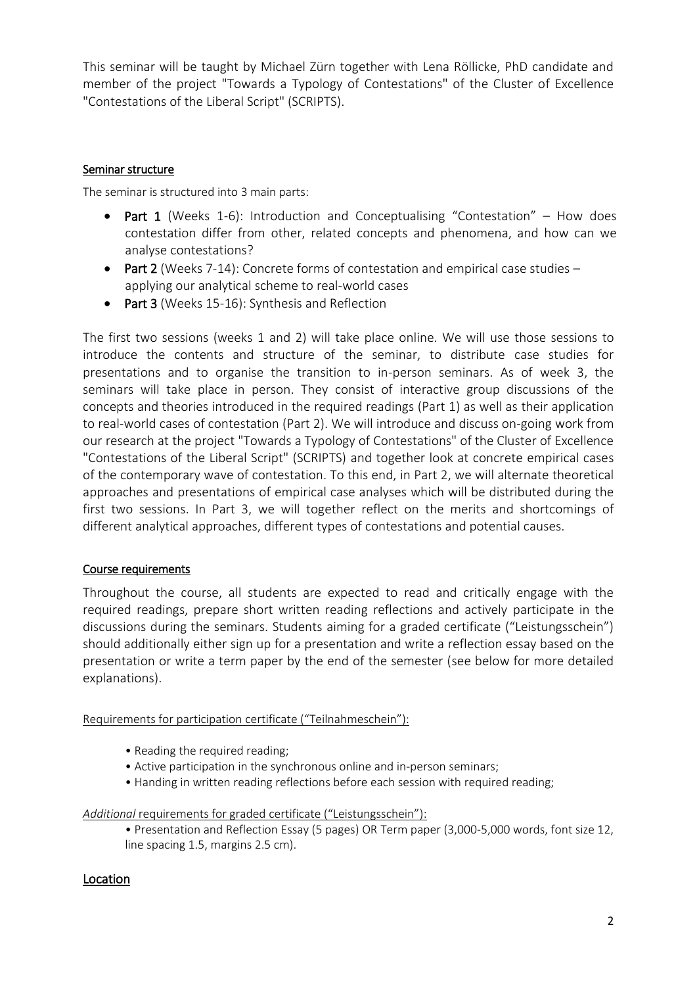This seminar will be taught by Michael Zürn together with Lena Röllicke, PhD candidate and member of the project "Towards a Typology of Contestations" of the Cluster of Excellence "Contestations of the Liberal Script" (SCRIPTS).

## Seminar structure

The seminar is structured into 3 main parts:

- Part 1 (Weeks 1-6): Introduction and Conceptualising "Contestation" How does contestation differ from other, related concepts and phenomena, and how can we analyse contestations?
- Part 2 (Weeks 7-14): Concrete forms of contestation and empirical case studies applying our analytical scheme to real-world cases
- Part 3 (Weeks 15-16): Synthesis and Reflection

The first two sessions (weeks 1 and 2) will take place online. We will use those sessions to introduce the contents and structure of the seminar, to distribute case studies for presentations and to organise the transition to in-person seminars. As of week 3, the seminars will take place in person. They consist of interactive group discussions of the concepts and theories introduced in the required readings (Part 1) as well as their application to real-world cases of contestation (Part 2). We will introduce and discuss on-going work from our research at the project "Towards a Typology of Contestations" of the Cluster of Excellence "Contestations of the Liberal Script" (SCRIPTS) and together look at concrete empirical cases of the contemporary wave of contestation. To this end, in Part 2, we will alternate theoretical approaches and presentations of empirical case analyses which will be distributed during the first two sessions. In Part 3, we will together reflect on the merits and shortcomings of different analytical approaches, different types of contestations and potential causes.

## Course requirements

Throughout the course, all students are expected to read and critically engage with the required readings, prepare short written reading reflections and actively participate in the discussions during the seminars. Students aiming for a graded certificate ("Leistungsschein") should additionally either sign up for a presentation and write a reflection essay based on the presentation or write a term paper by the end of the semester (see below for more detailed explanations).

### Requirements for participation certificate ("Teilnahmeschein"):

- Reading the required reading;
- Active participation in the synchronous online and in-person seminars;
- Handing in written reading reflections before each session with required reading;

### *Additional* requirements for graded certificate ("Leistungsschein"):

• Presentation and Reflection Essay (5 pages) OR Term paper (3,000-5,000 words, font size 12, line spacing 1.5, margins 2.5 cm).

## Location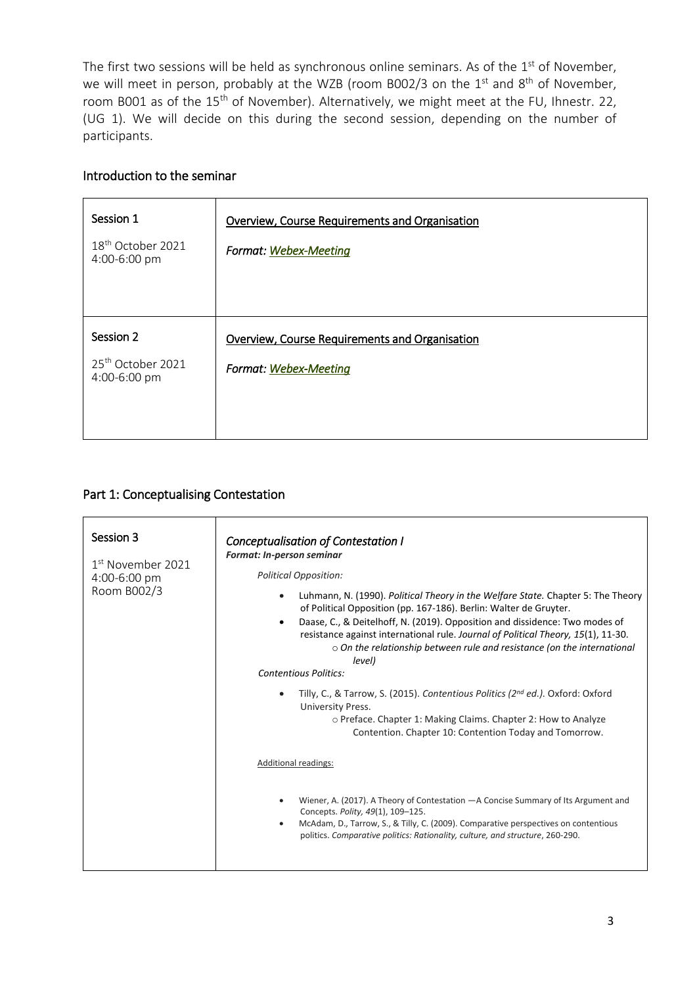The first two sessions will be held as synchronous online seminars. As of the 1<sup>st</sup> of November, we will meet in person, probably at the WZB (room B002/3 on the  $1<sup>st</sup>$  and  $8<sup>th</sup>$  of November, room B001 as of the 15<sup>th</sup> of November). Alternatively, we might meet at the FU, Ihnestr. 22, (UG 1). We will decide on this during the second session, depending on the number of participants.

## Introduction to the seminar

| Session 1<br>18 <sup>th</sup> October 2021<br>4:00-6:00 pm | Overview, Course Requirements and Organisation<br>Format: Webex-Meeting |
|------------------------------------------------------------|-------------------------------------------------------------------------|
| Session 2<br>25 <sup>th</sup> October 2021<br>4:00-6:00 pm | Overview, Course Requirements and Organisation<br>Format: Webex-Meeting |

## Part 1: Conceptualising Contestation

| Session 3<br>1 <sup>st</sup> November 2021<br>4:00-6:00 pm<br>Room B002/3 | Conceptualisation of Contestation I<br><b>Format: In-person seminar</b><br><b>Political Opposition:</b><br>Luhmann, N. (1990). Political Theory in the Welfare State. Chapter 5: The Theory<br>$\bullet$<br>of Political Opposition (pp. 167-186). Berlin: Walter de Gruyter.<br>Daase, C., & Deitelhoff, N. (2019). Opposition and dissidence: Two modes of<br>$\bullet$<br>resistance against international rule. Journal of Political Theory, 15(1), 11-30.<br>$\circ$ On the relationship between rule and resistance (on the international<br>level)<br><b>Contentious Politics:</b><br>Tilly, C., & Tarrow, S. (2015). Contentious Politics (2nd ed.). Oxford: Oxford<br>$\bullet$<br>University Press.<br>o Preface. Chapter 1: Making Claims. Chapter 2: How to Analyze<br>Contention. Chapter 10: Contention Today and Tomorrow. |
|---------------------------------------------------------------------------|-------------------------------------------------------------------------------------------------------------------------------------------------------------------------------------------------------------------------------------------------------------------------------------------------------------------------------------------------------------------------------------------------------------------------------------------------------------------------------------------------------------------------------------------------------------------------------------------------------------------------------------------------------------------------------------------------------------------------------------------------------------------------------------------------------------------------------------------|
|                                                                           | Additional readings:                                                                                                                                                                                                                                                                                                                                                                                                                                                                                                                                                                                                                                                                                                                                                                                                                      |
|                                                                           | Wiener, A. (2017). A Theory of Contestation - A Concise Summary of Its Argument and<br>$\bullet$<br>Concepts. Polity, 49(1), 109-125.<br>McAdam, D., Tarrow, S., & Tilly, C. (2009). Comparative perspectives on contentious<br>$\bullet$<br>politics. Comparative politics: Rationality, culture, and structure, 260-290.                                                                                                                                                                                                                                                                                                                                                                                                                                                                                                                |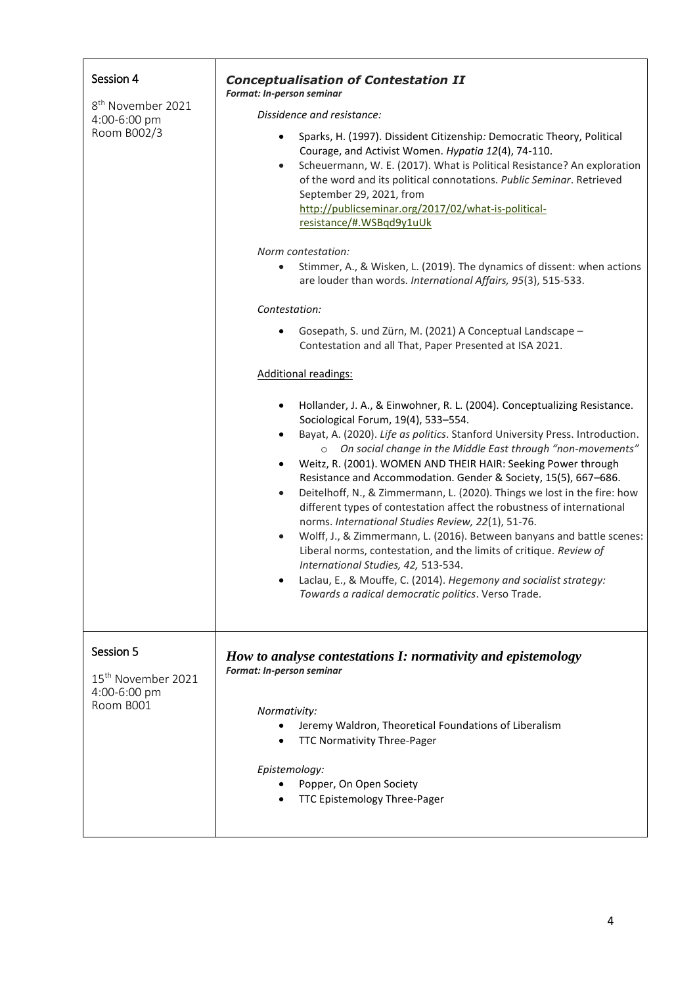| Session 4<br>8 <sup>th</sup> November 2021<br>4:00-6:00 pm<br>Room B002/3 | <b>Conceptualisation of Contestation II</b><br>Format: In-person seminar<br>Dissidence and resistance:<br>Sparks, H. (1997). Dissident Citizenship: Democratic Theory, Political<br>Courage, and Activist Women. Hypatia 12(4), 74-110.<br>Scheuermann, W. E. (2017). What is Political Resistance? An exploration<br>$\bullet$<br>of the word and its political connotations. Public Seminar. Retrieved<br>September 29, 2021, from<br>http://publicseminar.org/2017/02/what-is-political-<br>resistance/#.WSBqd9y1uUk<br>Norm contestation:                                                                                                                                                                                                                                                                                                                                                                                                                                                                       |
|---------------------------------------------------------------------------|---------------------------------------------------------------------------------------------------------------------------------------------------------------------------------------------------------------------------------------------------------------------------------------------------------------------------------------------------------------------------------------------------------------------------------------------------------------------------------------------------------------------------------------------------------------------------------------------------------------------------------------------------------------------------------------------------------------------------------------------------------------------------------------------------------------------------------------------------------------------------------------------------------------------------------------------------------------------------------------------------------------------|
|                                                                           | Stimmer, A., & Wisken, L. (2019). The dynamics of dissent: when actions<br>$\bullet$<br>are louder than words. International Affairs, 95(3), 515-533.<br>Contestation:                                                                                                                                                                                                                                                                                                                                                                                                                                                                                                                                                                                                                                                                                                                                                                                                                                              |
|                                                                           | Gosepath, S. und Zürn, M. (2021) A Conceptual Landscape -<br>٠<br>Contestation and all That, Paper Presented at ISA 2021.                                                                                                                                                                                                                                                                                                                                                                                                                                                                                                                                                                                                                                                                                                                                                                                                                                                                                           |
|                                                                           | <b>Additional readings:</b><br>Hollander, J. A., & Einwohner, R. L. (2004). Conceptualizing Resistance.<br>٠<br>Sociological Forum, 19(4), 533-554.<br>Bayat, A. (2020). Life as politics. Stanford University Press. Introduction.<br>$\bullet$<br>o On social change in the Middle East through "non-movements"<br>Weitz, R. (2001). WOMEN AND THEIR HAIR: Seeking Power through<br>٠<br>Resistance and Accommodation. Gender & Society, 15(5), 667-686.<br>Deitelhoff, N., & Zimmermann, L. (2020). Things we lost in the fire: how<br>$\bullet$<br>different types of contestation affect the robustness of international<br>norms. International Studies Review, 22(1), 51-76.<br>Wolff, J., & Zimmermann, L. (2016). Between banyans and battle scenes:<br>$\bullet$<br>Liberal norms, contestation, and the limits of critique. Review of<br>International Studies, 42, 513-534.<br>Laclau, E., & Mouffe, C. (2014). Hegemony and socialist strategy:<br>Towards a radical democratic politics. Verso Trade. |
| Session 5<br>15 <sup>th</sup> November 2021<br>4:00-6:00 pm<br>Room B001  | How to analyse contestations I: normativity and epistemology<br>Format: In-person seminar<br>Normativity:<br>Jeremy Waldron, Theoretical Foundations of Liberalism<br>TTC Normativity Three-Pager<br>Epistemology:<br>Popper, On Open Society<br>TTC Epistemology Three-Pager                                                                                                                                                                                                                                                                                                                                                                                                                                                                                                                                                                                                                                                                                                                                       |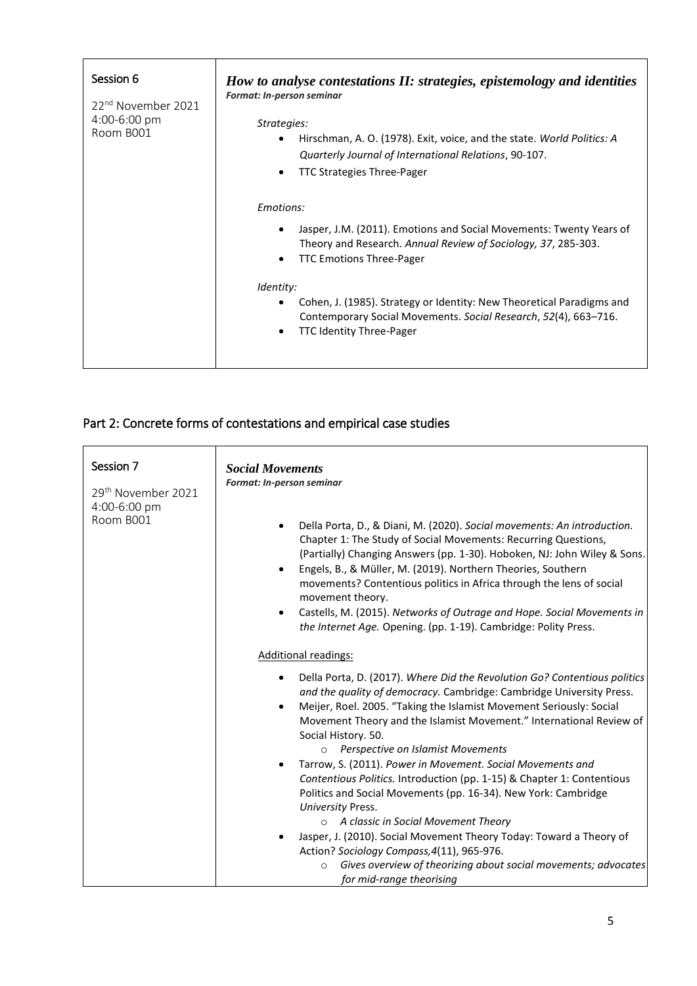| Session 6<br>22 <sup>nd</sup> November 2021<br>4:00-6:00 pm<br>Room B001 | How to analyse contestations II: strategies, epistemology and identities<br>Format: In-person seminar<br>Strategies:<br>Hirschman, A. O. (1978). Exit, voice, and the state. World Politics: A<br>٠<br>Quarterly Journal of International Relations, 90-107.<br><b>TTC Strategies Three-Pager</b><br>٠                                                                                |
|--------------------------------------------------------------------------|---------------------------------------------------------------------------------------------------------------------------------------------------------------------------------------------------------------------------------------------------------------------------------------------------------------------------------------------------------------------------------------|
|                                                                          | Emotions:<br>Jasper, J.M. (2011). Emotions and Social Movements: Twenty Years of<br>٠<br>Theory and Research. Annual Review of Sociology, 37, 285-303.<br><b>TTC Emotions Three-Pager</b><br>Identity:<br>Cohen, J. (1985). Strategy or Identity: New Theoretical Paradigms and<br>Contemporary Social Movements. Social Research, 52(4), 663-716.<br><b>TTC Identity Three-Pager</b> |

# Part 2: Concrete forms of contestations and empirical case studies

| Session 7<br>29 <sup>th</sup> November 2021<br>4:00-6:00 pm<br>Room B001 | <b>Social Movements</b><br>Format: In-person seminar<br>Della Porta, D., & Diani, M. (2020). Social movements: An introduction.<br>Chapter 1: The Study of Social Movements: Recurring Questions,<br>(Partially) Changing Answers (pp. 1-30). Hoboken, NJ: John Wiley & Sons.<br>Engels, B., & Müller, M. (2019). Northern Theories, Southern<br>movements? Contentious politics in Africa through the lens of social<br>movement theory.<br>Castells, M. (2015). Networks of Outrage and Hope. Social Movements in<br>٠<br>the Internet Age. Opening. (pp. 1-19). Cambridge: Polity Press. |
|--------------------------------------------------------------------------|---------------------------------------------------------------------------------------------------------------------------------------------------------------------------------------------------------------------------------------------------------------------------------------------------------------------------------------------------------------------------------------------------------------------------------------------------------------------------------------------------------------------------------------------------------------------------------------------|
|                                                                          | <b>Additional readings:</b>                                                                                                                                                                                                                                                                                                                                                                                                                                                                                                                                                                 |
|                                                                          | Della Porta, D. (2017). Where Did the Revolution Go? Contentious politics<br>and the quality of democracy. Cambridge: Cambridge University Press.<br>Meijer, Roel. 2005. "Taking the Islamist Movement Seriously: Social<br>$\bullet$<br>Movement Theory and the Islamist Movement." International Review of<br>Social History. 50.<br>Perspective on Islamist Movements<br>$\circ$                                                                                                                                                                                                         |
|                                                                          | Tarrow, S. (2011). Power in Movement. Social Movements and<br>Contentious Politics. Introduction (pp. 1-15) & Chapter 1: Contentious<br>Politics and Social Movements (pp. 16-34). New York: Cambridge<br>University Press.                                                                                                                                                                                                                                                                                                                                                                 |
|                                                                          | A classic in Social Movement Theory<br>$\circ$                                                                                                                                                                                                                                                                                                                                                                                                                                                                                                                                              |
|                                                                          | Jasper, J. (2010). Social Movement Theory Today: Toward a Theory of<br>Action? Sociology Compass, 4(11), 965-976.                                                                                                                                                                                                                                                                                                                                                                                                                                                                           |
|                                                                          | Gives overview of theorizing about social movements; advocates<br>$\circ$<br>for mid-range theorising                                                                                                                                                                                                                                                                                                                                                                                                                                                                                       |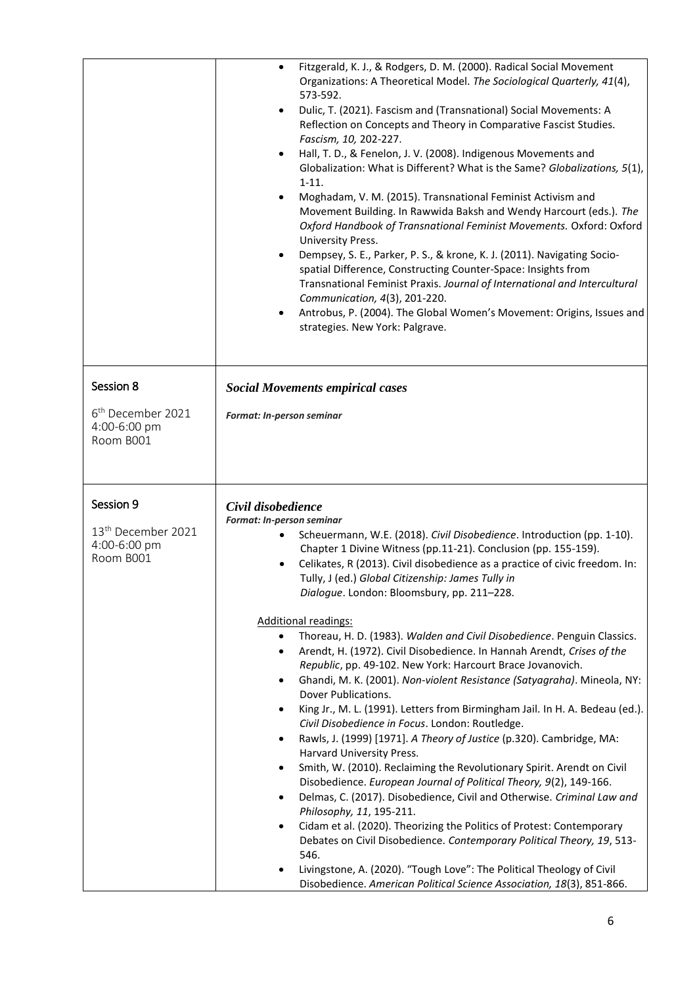|                                                             | Fitzgerald, K. J., & Rodgers, D. M. (2000). Radical Social Movement<br>$\bullet$<br>Organizations: A Theoretical Model. The Sociological Quarterly, 41(4),<br>573-592.<br>Dulic, T. (2021). Fascism and (Transnational) Social Movements: A<br>$\bullet$<br>Reflection on Concepts and Theory in Comparative Fascist Studies.<br>Fascism, 10, 202-227.<br>Hall, T. D., & Fenelon, J. V. (2008). Indigenous Movements and<br>Globalization: What is Different? What is the Same? Globalizations, 5(1),<br>$1 - 11.$<br>Moghadam, V. M. (2015). Transnational Feminist Activism and<br>Movement Building. In Rawwida Baksh and Wendy Harcourt (eds.). The<br>Oxford Handbook of Transnational Feminist Movements. Oxford: Oxford<br>University Press.<br>Dempsey, S. E., Parker, P. S., & krone, K. J. (2011). Navigating Socio-<br>spatial Difference, Constructing Counter-Space: Insights from<br>Transnational Feminist Praxis. Journal of International and Intercultural<br>Communication, 4(3), 201-220.<br>Antrobus, P. (2004). The Global Women's Movement: Origins, Issues and<br>٠<br>strategies. New York: Palgrave. |
|-------------------------------------------------------------|--------------------------------------------------------------------------------------------------------------------------------------------------------------------------------------------------------------------------------------------------------------------------------------------------------------------------------------------------------------------------------------------------------------------------------------------------------------------------------------------------------------------------------------------------------------------------------------------------------------------------------------------------------------------------------------------------------------------------------------------------------------------------------------------------------------------------------------------------------------------------------------------------------------------------------------------------------------------------------------------------------------------------------------------------------------------------------------------------------------------------------|
| Session 8                                                   | <b>Social Movements empirical cases</b>                                                                                                                                                                                                                                                                                                                                                                                                                                                                                                                                                                                                                                                                                                                                                                                                                                                                                                                                                                                                                                                                                        |
| 6 <sup>th</sup> December 2021<br>4:00-6:00 pm<br>Room B001  | Format: In-person seminar                                                                                                                                                                                                                                                                                                                                                                                                                                                                                                                                                                                                                                                                                                                                                                                                                                                                                                                                                                                                                                                                                                      |
| Session 9                                                   | Civil disobedience                                                                                                                                                                                                                                                                                                                                                                                                                                                                                                                                                                                                                                                                                                                                                                                                                                                                                                                                                                                                                                                                                                             |
|                                                             | Format: In-person seminar                                                                                                                                                                                                                                                                                                                                                                                                                                                                                                                                                                                                                                                                                                                                                                                                                                                                                                                                                                                                                                                                                                      |
| 13 <sup>th</sup> December 2021<br>4:00-6:00 pm<br>Room B001 | Scheuermann, W.E. (2018). Civil Disobedience. Introduction (pp. 1-10).<br>Chapter 1 Divine Witness (pp.11-21). Conclusion (pp. 155-159).<br>Celikates, R (2013). Civil disobedience as a practice of civic freedom. In:<br>Tully, J (ed.) Global Citizenship: James Tully in<br>Dialogue. London: Bloomsbury, pp. 211-228.                                                                                                                                                                                                                                                                                                                                                                                                                                                                                                                                                                                                                                                                                                                                                                                                     |
|                                                             | <b>Additional readings:</b>                                                                                                                                                                                                                                                                                                                                                                                                                                                                                                                                                                                                                                                                                                                                                                                                                                                                                                                                                                                                                                                                                                    |
|                                                             | Thoreau, H. D. (1983). Walden and Civil Disobedience. Penguin Classics.<br>$\bullet$<br>Arendt, H. (1972). Civil Disobedience. In Hannah Arendt, Crises of the<br>٠<br>Republic, pp. 49-102. New York: Harcourt Brace Jovanovich.<br>Ghandi, M. K. (2001). Non-violent Resistance (Satyagraha). Mineola, NY:<br>٠                                                                                                                                                                                                                                                                                                                                                                                                                                                                                                                                                                                                                                                                                                                                                                                                              |
|                                                             | Dover Publications.<br>King Jr., M. L. (1991). Letters from Birmingham Jail. In H. A. Bedeau (ed.).<br>$\bullet$                                                                                                                                                                                                                                                                                                                                                                                                                                                                                                                                                                                                                                                                                                                                                                                                                                                                                                                                                                                                               |
|                                                             | Civil Disobedience in Focus. London: Routledge.<br>Rawls, J. (1999) [1971]. A Theory of Justice (p.320). Cambridge, MA:<br>٠<br>Harvard University Press.                                                                                                                                                                                                                                                                                                                                                                                                                                                                                                                                                                                                                                                                                                                                                                                                                                                                                                                                                                      |
|                                                             | Smith, W. (2010). Reclaiming the Revolutionary Spirit. Arendt on Civil<br>$\bullet$                                                                                                                                                                                                                                                                                                                                                                                                                                                                                                                                                                                                                                                                                                                                                                                                                                                                                                                                                                                                                                            |
|                                                             | Disobedience. European Journal of Political Theory, 9(2), 149-166.<br>Delmas, C. (2017). Disobedience, Civil and Otherwise. Criminal Law and<br>$\bullet$                                                                                                                                                                                                                                                                                                                                                                                                                                                                                                                                                                                                                                                                                                                                                                                                                                                                                                                                                                      |
|                                                             | Philosophy, 11, 195-211.<br>Cidam et al. (2020). Theorizing the Politics of Protest: Contemporary<br>٠                                                                                                                                                                                                                                                                                                                                                                                                                                                                                                                                                                                                                                                                                                                                                                                                                                                                                                                                                                                                                         |
|                                                             | Debates on Civil Disobedience. Contemporary Political Theory, 19, 513-<br>546.                                                                                                                                                                                                                                                                                                                                                                                                                                                                                                                                                                                                                                                                                                                                                                                                                                                                                                                                                                                                                                                 |
|                                                             | Livingstone, A. (2020). "Tough Love": The Political Theology of Civil                                                                                                                                                                                                                                                                                                                                                                                                                                                                                                                                                                                                                                                                                                                                                                                                                                                                                                                                                                                                                                                          |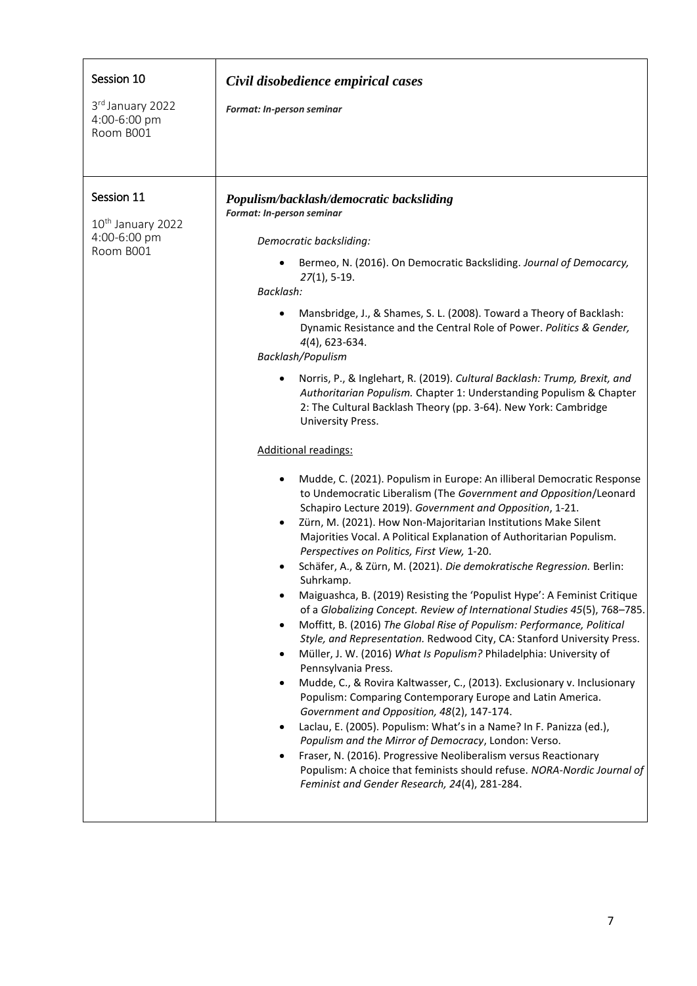| Session 10<br>3rd January 2022<br>4:00-6:00 pm<br>Room B001              | Civil disobedience empirical cases<br>Format: In-person seminar                                                                                                                                                                                                                                                                                                                                                                                                                                                                                                                                                                                                                                                                                                                                                                                                                                                                                                                                                                                                                                                                                                                                                                                                                                                                                                                                                                                                                                                                                                                                                                                                                                                                                                                                                                                                                                                                                                                                                                                                                                                                        |
|--------------------------------------------------------------------------|----------------------------------------------------------------------------------------------------------------------------------------------------------------------------------------------------------------------------------------------------------------------------------------------------------------------------------------------------------------------------------------------------------------------------------------------------------------------------------------------------------------------------------------------------------------------------------------------------------------------------------------------------------------------------------------------------------------------------------------------------------------------------------------------------------------------------------------------------------------------------------------------------------------------------------------------------------------------------------------------------------------------------------------------------------------------------------------------------------------------------------------------------------------------------------------------------------------------------------------------------------------------------------------------------------------------------------------------------------------------------------------------------------------------------------------------------------------------------------------------------------------------------------------------------------------------------------------------------------------------------------------------------------------------------------------------------------------------------------------------------------------------------------------------------------------------------------------------------------------------------------------------------------------------------------------------------------------------------------------------------------------------------------------------------------------------------------------------------------------------------------------|
| Session 11<br>10 <sup>th</sup> January 2022<br>4:00-6:00 pm<br>Room B001 | Populism/backlash/democratic backsliding<br>Format: In-person seminar<br>Democratic backsliding:<br>Bermeo, N. (2016). On Democratic Backsliding. Journal of Democarcy,<br>$27(1)$ , 5-19.<br>Backlash:<br>Mansbridge, J., & Shames, S. L. (2008). Toward a Theory of Backlash:<br>Dynamic Resistance and the Central Role of Power. Politics & Gender,<br>4(4), 623-634.<br>Backlash/Populism<br>Norris, P., & Inglehart, R. (2019). Cultural Backlash: Trump, Brexit, and<br>Authoritarian Populism. Chapter 1: Understanding Populism & Chapter<br>2: The Cultural Backlash Theory (pp. 3-64). New York: Cambridge<br>University Press.<br>Additional readings:<br>Mudde, C. (2021). Populism in Europe: An illiberal Democratic Response<br>٠<br>to Undemocratic Liberalism (The Government and Opposition/Leonard<br>Schapiro Lecture 2019). Government and Opposition, 1-21.<br>Zürn, M. (2021). How Non-Majoritarian Institutions Make Silent<br>٠<br>Majorities Vocal. A Political Explanation of Authoritarian Populism.<br>Perspectives on Politics, First View, 1-20.<br>Schäfer, A., & Zürn, M. (2021). Die demokratische Regression. Berlin:<br>Suhrkamp.<br>Maiguashca, B. (2019) Resisting the 'Populist Hype': A Feminist Critique<br>of a Globalizing Concept. Review of International Studies 45(5), 768-785.<br>Moffitt, B. (2016) The Global Rise of Populism: Performance, Political<br>$\bullet$<br>Style, and Representation. Redwood City, CA: Stanford University Press.<br>Müller, J. W. (2016) What Is Populism? Philadelphia: University of<br>٠<br>Pennsylvania Press.<br>Mudde, C., & Rovira Kaltwasser, C., (2013). Exclusionary v. Inclusionary<br>$\bullet$<br>Populism: Comparing Contemporary Europe and Latin America.<br>Government and Opposition, 48(2), 147-174.<br>Laclau, E. (2005). Populism: What's in a Name? In F. Panizza (ed.),<br>Populism and the Mirror of Democracy, London: Verso.<br>Fraser, N. (2016). Progressive Neoliberalism versus Reactionary<br>Populism: A choice that feminists should refuse. NORA-Nordic Journal of<br>Feminist and Gender Research, 24(4), 281-284. |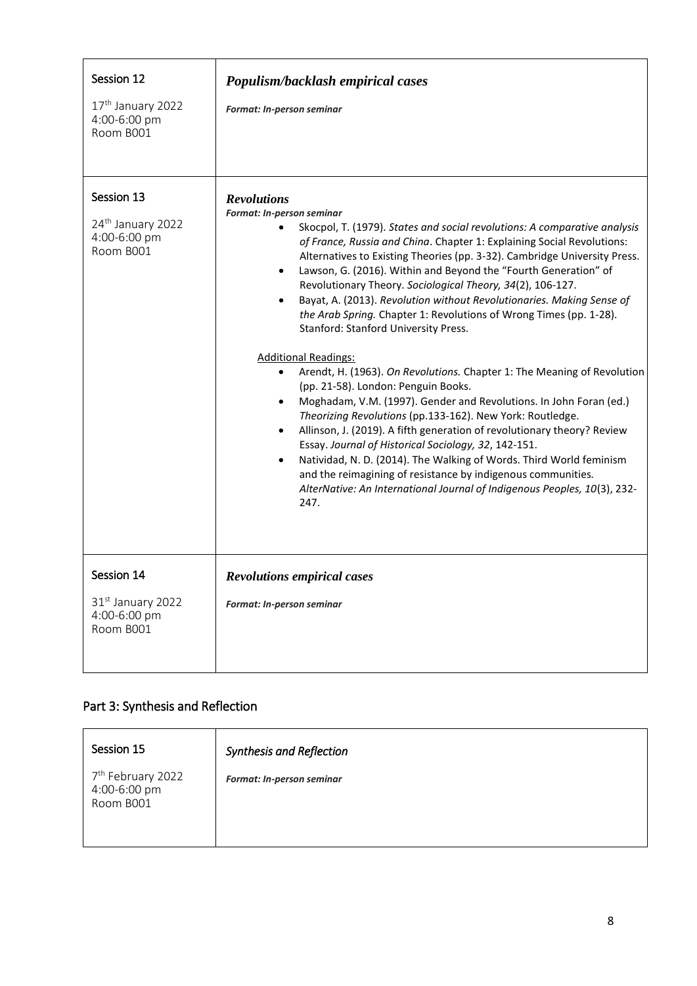| Session 12<br>17 <sup>th</sup> January 2022<br>4:00-6:00 pm<br>Room B001 | Populism/backlash empirical cases<br>Format: In-person seminar                                                                                                                                                                                                                                                                                                                                                                                                                                                                                                                                                                                                                                                                                                                                                                                                                                                                                                                                                                                                                                                                                                                                                                                                                                                              |
|--------------------------------------------------------------------------|-----------------------------------------------------------------------------------------------------------------------------------------------------------------------------------------------------------------------------------------------------------------------------------------------------------------------------------------------------------------------------------------------------------------------------------------------------------------------------------------------------------------------------------------------------------------------------------------------------------------------------------------------------------------------------------------------------------------------------------------------------------------------------------------------------------------------------------------------------------------------------------------------------------------------------------------------------------------------------------------------------------------------------------------------------------------------------------------------------------------------------------------------------------------------------------------------------------------------------------------------------------------------------------------------------------------------------|
| Session 13<br>24 <sup>th</sup> January 2022<br>4:00-6:00 pm<br>Room B001 | <b>Revolutions</b><br>Format: In-person seminar<br>Skocpol, T. (1979). States and social revolutions: A comparative analysis<br>of France, Russia and China. Chapter 1: Explaining Social Revolutions:<br>Alternatives to Existing Theories (pp. 3-32). Cambridge University Press.<br>Lawson, G. (2016). Within and Beyond the "Fourth Generation" of<br>٠<br>Revolutionary Theory. Sociological Theory, 34(2), 106-127.<br>Bayat, A. (2013). Revolution without Revolutionaries. Making Sense of<br>$\bullet$<br>the Arab Spring. Chapter 1: Revolutions of Wrong Times (pp. 1-28).<br>Stanford: Stanford University Press.<br><b>Additional Readings:</b><br>Arendt, H. (1963). On Revolutions. Chapter 1: The Meaning of Revolution<br>٠<br>(pp. 21-58). London: Penguin Books.<br>Moghadam, V.M. (1997). Gender and Revolutions. In John Foran (ed.)<br>$\bullet$<br>Theorizing Revolutions (pp.133-162). New York: Routledge.<br>Allinson, J. (2019). A fifth generation of revolutionary theory? Review<br>$\bullet$<br>Essay. Journal of Historical Sociology, 32, 142-151.<br>Natividad, N. D. (2014). The Walking of Words. Third World feminism<br>$\bullet$<br>and the reimagining of resistance by indigenous communities.<br>AlterNative: An International Journal of Indigenous Peoples, 10(3), 232-<br>247. |
| Session 14<br>31 <sup>st</sup> January 2022<br>4:00-6:00 pm<br>Room B001 | <b>Revolutions empirical cases</b><br>Format: In-person seminar                                                                                                                                                                                                                                                                                                                                                                                                                                                                                                                                                                                                                                                                                                                                                                                                                                                                                                                                                                                                                                                                                                                                                                                                                                                             |

# Part 3: Synthesis and Reflection

| Session 15                                                 | <b>Synthesis and Reflection</b>  |
|------------------------------------------------------------|----------------------------------|
| 7 <sup>th</sup> February 2022<br>4:00-6:00 pm<br>Room B001 | <b>Format: In-person seminar</b> |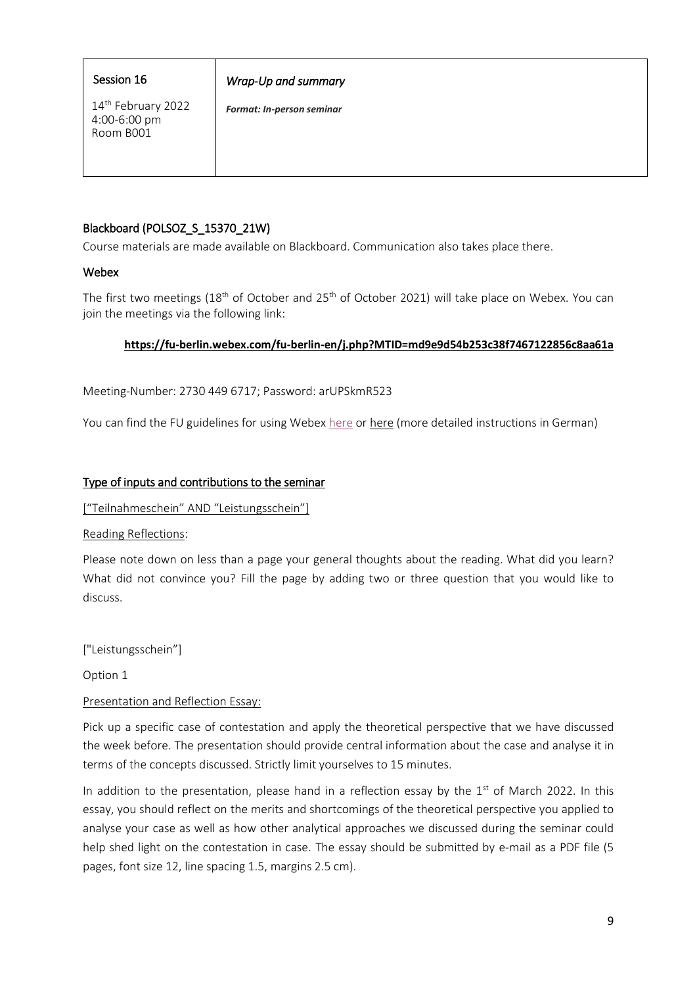### Session 16

## *Wrap-Up and summary*

14th February 2022 4:00-6:00 pm Room B001

*Format: In-person seminar* 

## Blackboard (POLSOZ\_S\_15370\_21W)

Course materials are made available on Blackboard. Communication also takes place there.

### **Webex**

The first two meetings (18<sup>th</sup> of October and 25<sup>th</sup> of October 2021) will take place on Webex. You can join the meetings via the following link:

### **<https://fu-berlin.webex.com/fu-berlin-en/j.php?MTID=md9e9d54b253c38f7467122856c8aa61a>**

Meeting-Number: 2730 449 6717; Password: arUPSkmR523

You can find the FU guidelines for using Webex [here](https://wikis.fu-berlin.de/display/webexwiki/Zugang+zu+Webex+Meetings,+Training+und+Events) or here (more detailed instructions in German)

### Type of inputs and contributions to the seminar

["Teilnahmeschein" AND "Leistungsschein"]

Reading Reflections:

Please note down on less than a page your general thoughts about the reading. What did you learn? What did not convince you? Fill the page by adding two or three question that you would like to discuss.

["Leistungsschein"]

Option 1

### Presentation and Reflection Essay:

Pick up a specific case of contestation and apply the theoretical perspective that we have discussed the week before. The presentation should provide central information about the case and analyse it in terms of the concepts discussed. Strictly limit yourselves to 15 minutes.

In addition to the presentation, please hand in a reflection essay by the  $1<sup>st</sup>$  of March 2022. In this essay, you should reflect on the merits and shortcomings of the theoretical perspective you applied to analyse your case as well as how other analytical approaches we discussed during the seminar could help shed light on the contestation in case. The essay should be submitted by e-mail as a PDF file (5 pages, font size 12, line spacing 1.5, margins 2.5 cm).